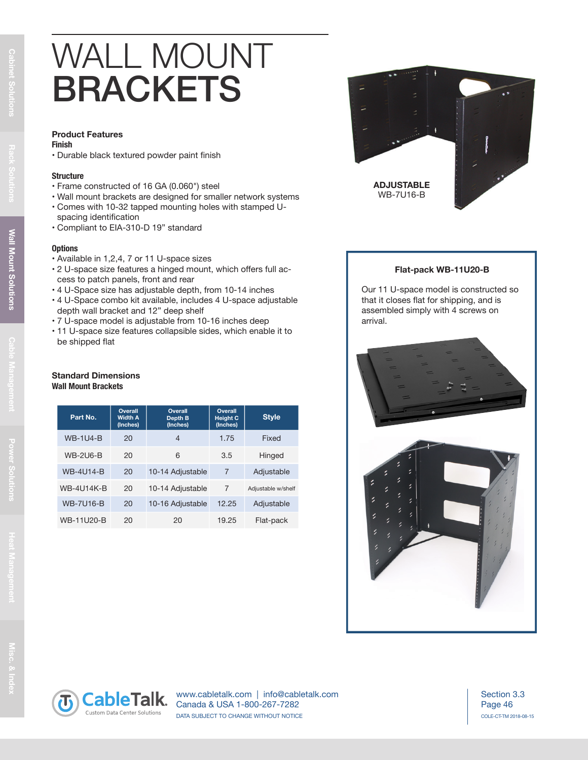## WALL MOUNT BRACKETS

#### **Product Features**

#### **Finish**

• Durable black textured powder paint finish

#### **Structure**

- Frame constructed of 16 GA (0.060") steel
- Wall mount brackets are designed for smaller network systems
- Comes with 10-32 tapped mounting holes with stamped Uspacing identification
- Compliant to EIA-310-D 19" standard

#### **Options**

- Available in 1,2,4, 7 or 11 U-space sizes
- 2 U-space size features a hinged mount, which offers full access to patch panels, front and rear
- 4 U-Space size has adjustable depth, from 10-14 inches
- 4 U-Space combo kit available, includes 4 U-space adjustable depth wall bracket and 12" deep shelf
- 7 U-space model is adjustable from 10-16 inches deep
- 11 U-space size features collapsible sides, which enable it to be shipped flat

### **Standard Dimensions Wall Mount Brackets**

| Part No.          | Overall<br><b>Width A</b><br>(Inches) | Overall<br>Depth B<br>(Inches) | Overall<br><b>Height C</b><br>(Inches) | <b>Style</b>       |
|-------------------|---------------------------------------|--------------------------------|----------------------------------------|--------------------|
| <b>WB-1U4-B</b>   | 20                                    | 4                              | 1.75                                   | Fixed              |
| <b>WB-2U6-B</b>   | 20                                    | 6                              | 3.5                                    | Hinged             |
| <b>WB-4U14-B</b>  | 20                                    | 10-14 Adjustable               | $\overline{7}$                         | Adjustable         |
| <b>WB-4U14K-B</b> | 20                                    | 10-14 Adjustable               | 7                                      | Adjustable w/shelf |
| <b>WB-7U16-B</b>  | 20                                    | 10-16 Adjustable               | 12.25                                  | Adjustable         |
| <b>WB-11U20-B</b> | 20                                    | 20                             | 19.25                                  | Flat-pack          |



### **Flat-pack WB-11U20-B**

Our 11 U-space model is constructed so that it closes flat for shipping, and is assembled simply with 4 screws on arrival.





www.cabletalk.com | info@cabletalk.com Canada & USA 1-800-267-7282 DATA SUBJECT TO CHANGE WITHOUT NOTICE

Page 46 COLE-CT-TM 2018-08-15 Section 3.3

**Rack Solutions**